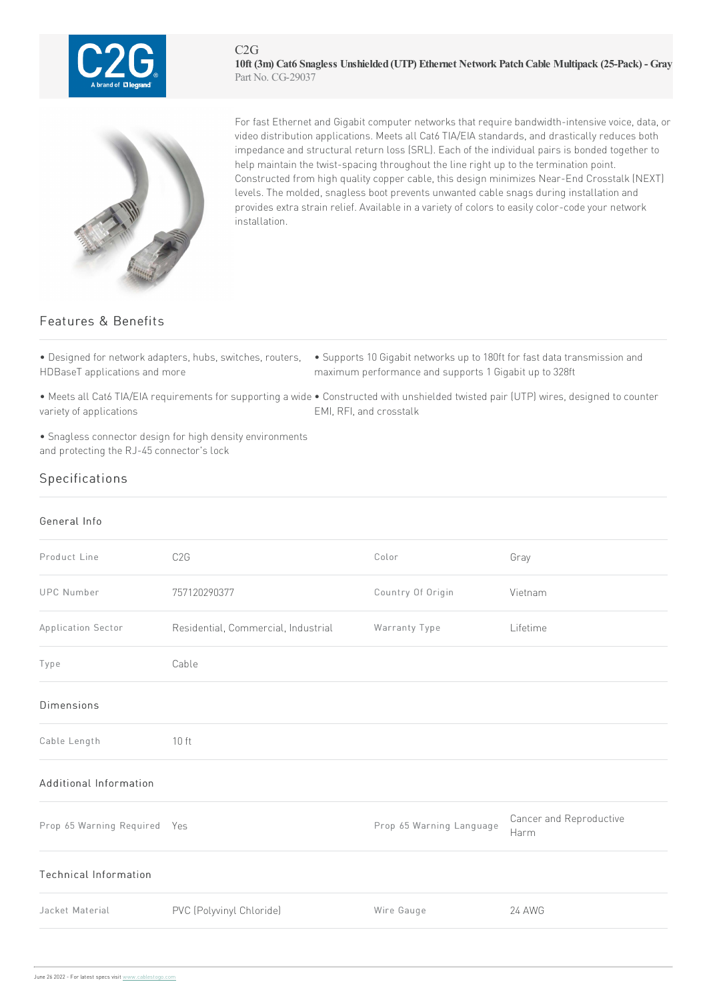



For fast Ethernet and Gigabit computer networks that require bandwidth-intensive voice, data, or video distribution applications. Meets all Cat6 TIA/EIA standards, and drastically reduces both impedance and structural return loss (SRL). Each of the individual pairs is bonded together to help maintain the twist-spacing throughout the line right up to the termination point. Constructed from high quality copper cable, this design minimizes Near-End Crosstalk (NEXT) levels. The molded, snagless boot prevents unwanted cable snags during installation and provides extra strain relief. Available in a variety of colors to easily color-code your network installation.

## Features & Benefits

|  |  | • Designed for network adapters, hubs, switches, routers, |  |  |
|--|--|-----------------------------------------------------------|--|--|
|  |  | HDBaseT applications and more                             |  |  |

• Supports 10 Gigabit networks up to 180ft for fast data transmission and maximum performance and supports 1 Gigabit up to 328ft

• Meets all Cat6 TIA/EIA requirements for supporting a wide • Constructed with unshielded twisted pair (UTP) wires, designed to counter variety of applications EMI, RFI,and crosstalk

• Snagless connector design for high density environments and protecting the RJ-45 connector's lock

## Specifications

## General Info Product Line C2G COLOR Color Color Gray UPC Number 757120290377 Country Of Origin Vietnam Application Sector Residential, Commercial, Industrial Warranty Type Lifetime Type Cable Dimensions Cable Length 10 ft Additional Information Prop 65 Warning Required Yes **Prop 65 Warning Language** Cancer and Reproductive Harm Technical Information Jacket Material PVC (Polyvinyl Chloride) Wire Gauge 24AWG